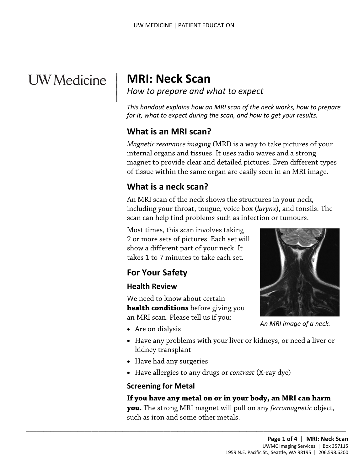# **UW** Medicine

|

## | **MRI: Neck Scan**

<sup>|</sup>*How to prepare and what to expect* <sup>|</sup>

 *This handout explains how an MRI scan of the neck works, how to prepare for it, what to expect during the scan, and how to get your results.* 

## **What is an MRI scan?**

 magnet to provide clear and detailed pictures. Even different types *Magnetic resonance imaging* (MRI) is a way to take pictures of your internal organs and tissues. It uses radio waves and a strong of tissue within the same organ are easily seen in an MRI image.

## **What is a neck scan?**

 including your throat, tongue, voice box (*larynx*), and tonsils. The An MRI scan of the neck shows the structures in your neck, scan can help find problems such as infection or tumours.

 Most times, this scan involves taking show a different part of your neck. It 2 or more sets of pictures. Each set will takes 1 to 7 minutes to take each set.

## **For Your Safety**

#### **Health Review**

 an MRI scan. Please tell us if you: We need to know about certain **health conditions** before giving you

 $\_$  , and the set of the set of the set of the set of the set of the set of the set of the set of the set of the set of the set of the set of the set of the set of the set of the set of the set of the set of the set of th

- Are on dialysis
- Have any problems with your liver or kidneys, or need a liver or kidney transplant
- Have had any surgeries
- Have allergies to any drugs or *contrast* (X-ray dye)

#### **Screening for Metal**

#### **If you have any metal on or in your body, an MRI can harm**

 **you.** The strong MRI magnet will pull on any *ferromagnetic* object, such as iron and some other metals.



*An MRI image of a neck.*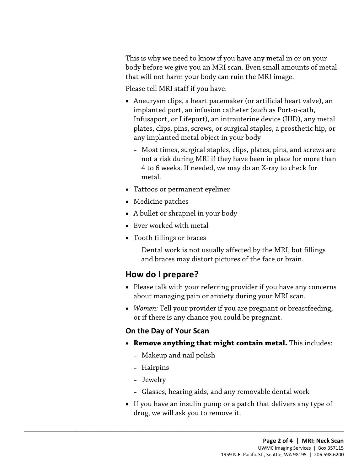This is why we need to know if you have any metal in or on your body before we give you an MRI scan. Even small amounts of metal that will not harm your body can ruin the MRI image.

Please tell MRI staff if you have:

- Aneurysm clips, a heart pacemaker (or artificial heart valve), an implanted port, an infusion catheter (such as Port-o-cath, Infusaport, or Lifeport), an intrauterine device (IUD), any metal plates, clips, pins, screws, or surgical staples, a prosthetic hip, or any implanted metal object in your body
	- 4 to 6 weeks. If needed, we may do an X-ray to check for – Most times, surgical staples, clips, plates, pins, and screws are not a risk during MRI if they have been in place for more than metal.
- Tattoos or permanent eyeliner
- Medicine patches
- A bullet or shrapnel in your body
- Ever worked with metal
- • Tooth fillings or braces
	- Dental work is not usually affected by the MRI, but fillings and braces may distort pictures of the face or brain.

### **How do I prepare?**

- Please talk with your referring provider if you have any concerns about managing pain or anxiety during your MRI scan.
- *Women:* Tell your provider if you are pregnant or breastfeeding, or if there is any chance you could be pregnant.

#### **On the Day of Your Scan**

- • **Remove anything that might contain metal.** This includes:
	- Makeup and nail polish

 $\_$  ,  $\_$  ,  $\_$  ,  $\_$  ,  $\_$  ,  $\_$  ,  $\_$  ,  $\_$  ,  $\_$  ,  $\_$  ,  $\_$  ,  $\_$  ,  $\_$  ,  $\_$  ,  $\_$  ,  $\_$  ,  $\_$  ,  $\_$  ,  $\_$  ,  $\_$  ,  $\_$  ,  $\_$  ,  $\_$  ,  $\_$  ,  $\_$  ,  $\_$  ,  $\_$  ,  $\_$  ,  $\_$  ,  $\_$  ,  $\_$  ,  $\_$  ,  $\_$  ,  $\_$  ,  $\_$  ,  $\_$  ,  $\_$  ,

- Hairpins
- Jewelry
- Glasses, hearing aids, and any removable dental work
- If you have an insulin pump or a patch that delivers any type of drug, we will ask you to remove it.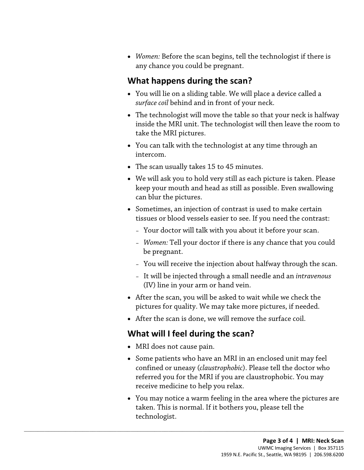• *Women:* Before the scan begins, tell the technologist if there is any chance you could be pregnant.

## **What happens during the scan?**

- You will lie on a sliding table. We will place a device called a *surface coil* behind and in front of your neck.
- inside the MRI unit. The technologist will then leave the room to • The technologist will move the table so that your neck is halfway take the MRI pictures.
- • You can talk with the [technologist](javascript:glossAry() at any time through an intercom.
- The scan usually takes 15 to 45 minutes.
- • We will ask you to hold very still as each picture is taken. Please keep your mouth and head as still as possible. Even swallowing can blur the pictures.
- • Sometimes, an injection of contrast is used to make certain tissues or blood vessels easier to see. If you need the contrast:
	- Your doctor will talk with you about it before your scan.
	- *Women:* Tell your doctor if there is any chance that you could be pregnant.
	- You will receive the injection about halfway through the scan.
	- It will be injected through a small needle and an *intravenous*  (IV) line in your arm or hand vein.
- After the scan, you will be asked to wait while we check the pictures for quality. We may take more pictures, if needed.
- After the scan is done, we will remove the surface coil.

## **What will I feel during the scan?**

 $\_$  ,  $\_$  ,  $\_$  ,  $\_$  ,  $\_$  ,  $\_$  ,  $\_$  ,  $\_$  ,  $\_$  ,  $\_$  ,  $\_$  ,  $\_$  ,  $\_$  ,  $\_$  ,  $\_$  ,  $\_$  ,  $\_$  ,  $\_$  ,  $\_$  ,  $\_$  ,  $\_$  ,  $\_$  ,  $\_$  ,  $\_$  ,  $\_$  ,  $\_$  ,  $\_$  ,  $\_$  ,  $\_$  ,  $\_$  ,  $\_$  ,  $\_$  ,  $\_$  ,  $\_$  ,  $\_$  ,  $\_$  ,  $\_$  ,

- MRI does not cause pain.
- Some patients who have an MRI in an enclosed unit may feel confined or uneasy (*claustrophobic*). Please tell the doctor who referred you for the MRI if you are claustrophobic. You may receive medicine to help you relax.
- [technologist.](javascript:glossAry() • You may notice a warm feeling in the area where the pictures are taken. This is normal. If it bothers you, please tell the